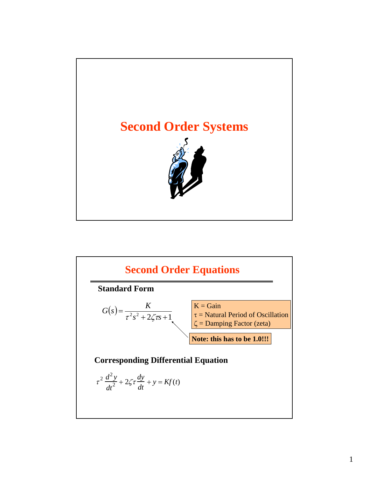

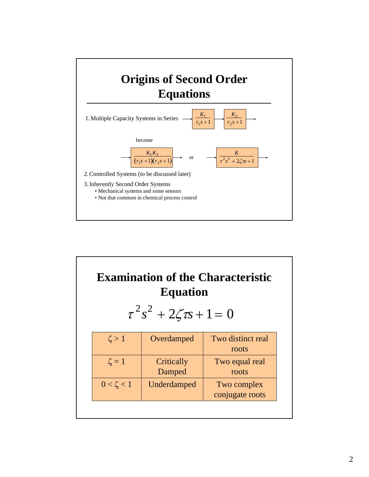

| <b>Examination of the Characteristic</b><br><b>Equation</b><br>$\tau^2 s^2 + 2\zeta \tau s + 1 = 0$ |                 |                      |                                |  |  |  |  |
|-----------------------------------------------------------------------------------------------------|-----------------|----------------------|--------------------------------|--|--|--|--|
|                                                                                                     | $\zeta > 1$     | Overdamped           | Two distinct real<br>roots     |  |  |  |  |
|                                                                                                     | $\zeta = 1$     | Critically<br>Damped | Two equal real<br>roots        |  |  |  |  |
|                                                                                                     | $0 < \zeta < 1$ | Underdamped          | Two complex<br>conjugate roots |  |  |  |  |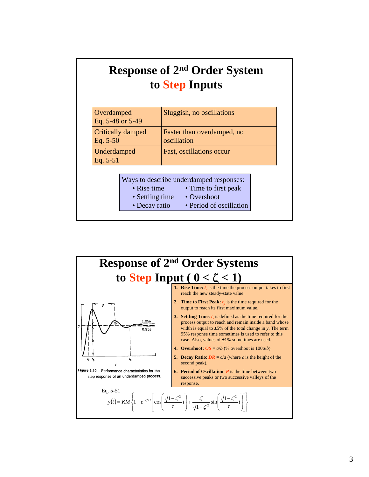### **Response of 2nd Order System to Step Inputs**

| Overdamped<br>Eq. 5-48 or 5-49  |                                | Sluggish, no oscillations                                                      |  |
|---------------------------------|--------------------------------|--------------------------------------------------------------------------------|--|
| Critically damped<br>Eq. $5-50$ |                                | Faster than overdamped, no<br>oscillation                                      |  |
| Underdamped<br>Eq. $5-51$       |                                | Fast, oscillations occur                                                       |  |
|                                 | • Rise time<br>• Settling time | Ways to describe underdamped responses:<br>• Time to first peak<br>• Overshoot |  |

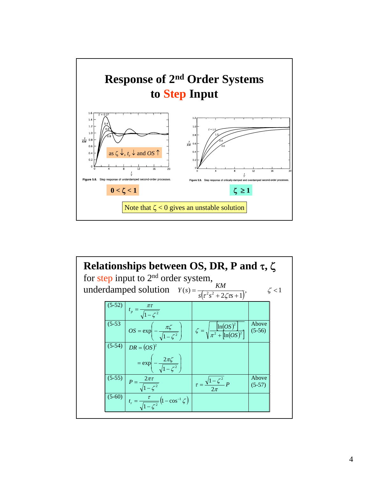

|  | Relationships between OS, DR, P and $\tau$ , $\zeta$<br>for step input to $2nd$ order system,<br>underdamped solution $Y(s) = \frac{KM}{s(r^2s^2 + 2\zeta\sigma + 1)}$ , |                                       | $\zeta$ < 1       |  |
|--|--------------------------------------------------------------------------------------------------------------------------------------------------------------------------|---------------------------------------|-------------------|--|
|  | (5-52) $t_p = \frac{\pi \tau}{\sqrt{1 - \zeta^2}}$                                                                                                                       |                                       |                   |  |
|  | (5-53 $OS = \exp\left(-\frac{\pi\zeta}{\sqrt{1-\zeta^2}}\right)$ $\zeta = \sqrt{\frac{\ln(OS)^2}{\pi^2 + \left[\ln(OS)^2\right]}}$                                       |                                       | Above<br>$(5-56)$ |  |
|  | $(5-54)$ $DR = (OS)^2$<br>$= \exp\left(-\frac{2\pi\zeta}{\sqrt{1-\zeta^2}}\right)$                                                                                       |                                       |                   |  |
|  | (5-55) $P = \frac{2\pi\tau}{\sqrt{1-\zeta^2}}$                                                                                                                           | $\tau = \frac{\sqrt{1-\zeta^2}}{P} p$ | Above<br>$(5-57)$ |  |
|  | $\overline{(5-60)}$ $t_r = \frac{\tau}{\sqrt{1-\zeta^2}} \left(1-\cos^{-1}\zeta\right)$                                                                                  |                                       |                   |  |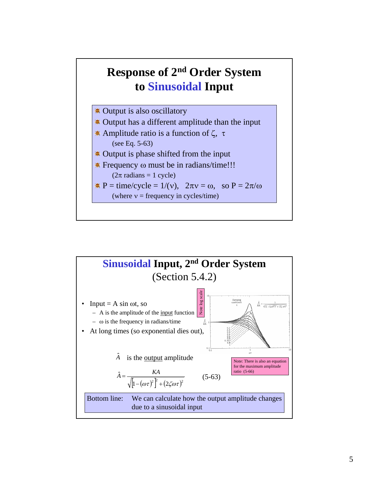#### **Response of 2nd Order System to Sinusoidal Input**



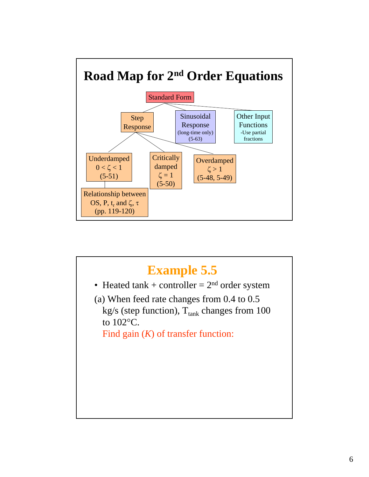

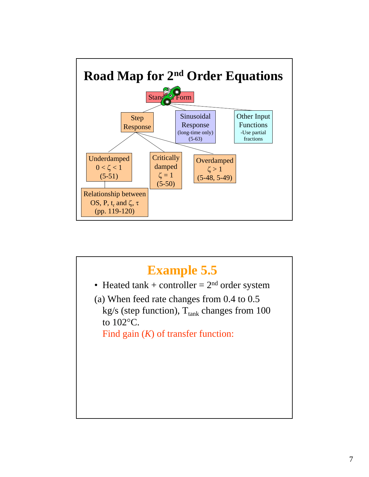

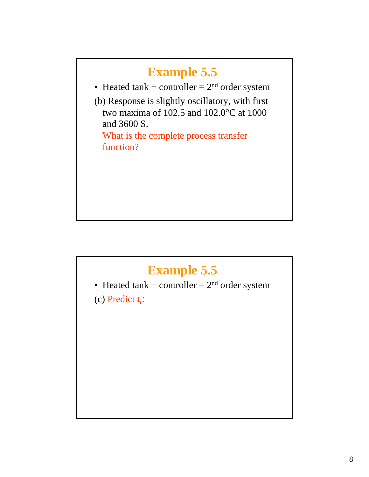# **Example 5.5** • Heated  $tank + controller = 2<sup>nd</sup> order system$ (b) Response is slightly oscillatory, with first two maxima of 102.5 and 102.0°C at 1000 and 3600 S. What is the complete process transfer function?

## **Example 5.5**

• Heated  $tank + controller = 2<sup>nd</sup> order system$ 

(c) Predict  $t_r$ :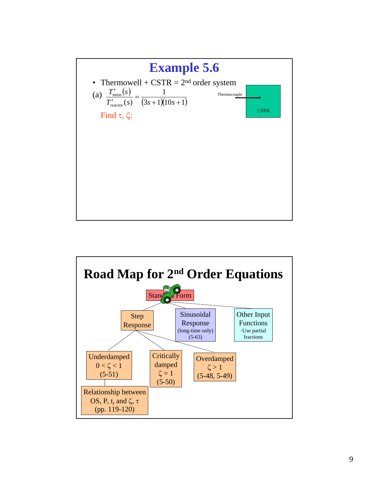

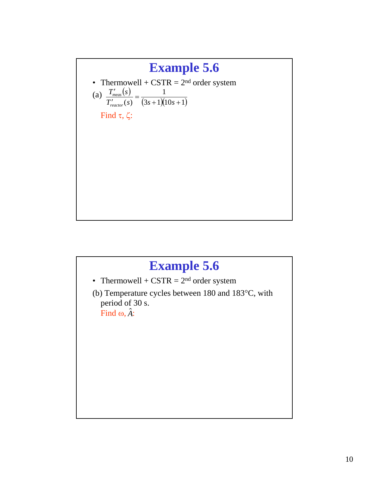